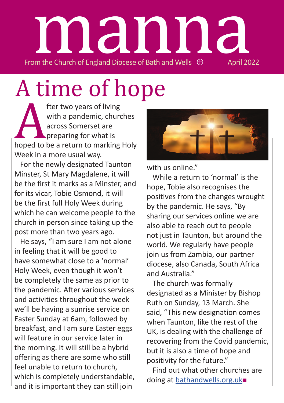# From the Church of England Diocese of Bath and Wells  $\oplus$  April 2022 manna

# A time of hope

The two years of living<br>with a pandemic, churcacross Somerset are<br>preparing for what is<br>hoped to be a return to marking<br>Week in a more usual way. with a pandemic, churches across Somerset are **preparing for what is** hoped to be a return to marking Holy Week in a more usual way.

For the newly designated Taunton Minster, St Mary Magdalene, it will be the first it marks as a Minster, and for its vicar, Tobie Osmond, it will be the first full Holy Week during which he can welcome people to the church in person since taking up the post more than two years ago.

He says, "I am sure I am not alone in feeling that it will be good to have somewhat close to a 'normal' Holy Week, even though it won't be completely the same as prior to the pandemic. After various services and activities throughout the week we'll be having a sunrise service on Easter Sunday at 6am, followed by breakfast, and I am sure Easter eggs will feature in our service later in the morning. It will still be a hybrid offering as there are some who still feel unable to return to church, which is completely understandable, and it is important they can still join



with us online"

While a return to 'normal' is the hope, Tobie also recognises the positives from the changes wrought by the pandemic. He says, "By sharing our services online we are also able to reach out to people not just in Taunton, but around the world. We regularly have people join us from Zambia, our partner diocese, also Canada, South Africa and Australia."

The church was formally designated as a Minister by Bishop Ruth on Sunday, 13 March. She said, "This new designation comes when Taunton, like the rest of the UK, is dealing with the challenge of recovering from the Covid pandemic, but it is also a time of hope and positivity for the future."

Find out what other churches are doing at bathandwells.org.uk■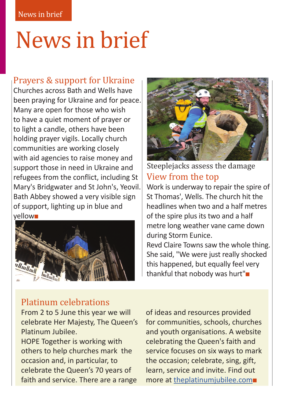### News in brief

#### Prayers & support for Ukraine

Churches across Bath and Wells have been praying for Ukraine and for peace. Many are open for those who wish to have a quiet moment of prayer or to light a candle, others have been holding prayer vigils. Locally church communities are working closely with aid agencies to raise money and support those in need in Ukraine and refugees from the conflict, including St Mary's Bridgwater and St John's, Yeovil. Bath Abbey showed a very visible sign of support, lighting up in blue and yellow■





View from the top Steeplejacks assess the damage

Work is underway to repair the spire of St Thomas', Wells. The church hit the headlines when two and a half metres of the spire plus its two and a half metre long weather vane came down during Storm Eunice.

Revd Claire Towns saw the whole thing. She said, "We were just really shocked this happened, but equally feel very thankful that nobody was hurt"■

#### Platinum celebrations

From 2 to 5 June this year we will celebrate Her Majesty, The Queen's Platinum Jubilee. HOPE Together is working with others to help churches mark the occasion and, in particular, to celebrate the Queen's 70 years of faith and service. There are a range

of ideas and resources provided for communities, schools, churches and youth organisations. A website celebrating the Queen's faith and service focuses on six ways to mark the occasion; celebrate, sing, gift, learn, service and invite. Find out more at theplatinumjubilee.com■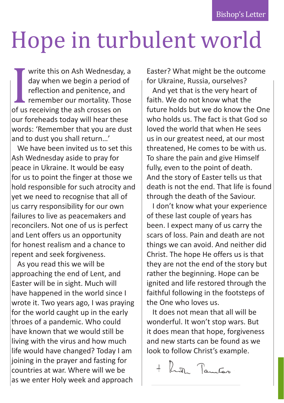Bishop's Letter

### Hope in turbulent world

day when we begin a period of<br>reflection and penitence, and<br>remember our mortality. Those<br>of us receiving the ash crosses on<br>our foreheads today will hear these write this on Ash Wednesday, a day when we begin a period of reflection and penitence, and remember our mortality. Those of us receiving the ash crosses on words: 'Remember that you are dust and to dust you shall return…'

We have been invited us to set this Ash Wednesday aside to pray for peace in Ukraine. It would be easy for us to point the finger at those we hold responsible for such atrocity and yet we need to recognise that all of us carry responsibility for our own failures to live as peacemakers and reconcilers. Not one of us is perfect and Lent offers us an opportunity for honest realism and a chance to repent and seek forgiveness.

As you read this we will be approaching the end of Lent, and Easter will be in sight. Much will have happened in the world since I wrote it. Two years ago, I was praying for the world caught up in the early throes of a pandemic. Who could have known that we would still be living with the virus and how much life would have changed? Today I am joining in the prayer and fasting for countries at war. Where will we be as we enter Holy week and approach

Easter? What might be the outcome for Ukraine, Russia, ourselves?

And yet that is the very heart of faith. We do not know what the future holds but we do know the One who holds us. The fact is that God so loved the world that when He sees us in our greatest need, at our most threatened, He comes to be with us. To share the pain and give Himself fully, even to the point of death. And the story of Easter tells us that death is not the end. That life is found through the death of the Saviour.

I don't know what your experience of these last couple of years has been. I expect many of us carry the scars of loss. Pain and death are not things we can avoid. And neither did Christ. The hope He offers us is that they are not the end of the story but rather the beginning. Hope can be ignited and life restored through the faithful following in the footsteps of the One who loves us.

It does not mean that all will be wonderful. It won't stop wars. But it does mean that hope, forgiveness and new starts can be found as we look to follow Christ's example.